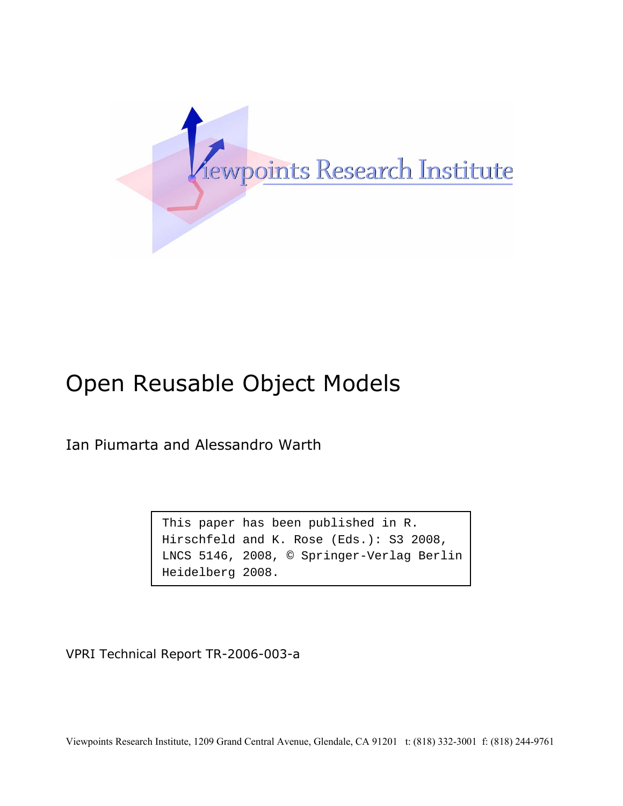

# Open Reusable Object Models

Ian Piumarta and Alessandro Warth

This paper has been published in R.<br>
Hirschfeld and K. Rose (Eds.): S3 2008,<br>
LNCS 5146, 2008, © Springer-Verlag Berlin<br>
Heidelberg 2008.<br>
VPRI Technical Report TR-2006-003-a<br>
Viewpoints Research Institute, 1209 Grand Cent Hirschfeld and K. Rose (Eds.): S3 2008, LNCS 5146, 2008, © Springer-Verlag Berlin Heidelberg 2008.

VPRI Technical Report TR-2006-003-a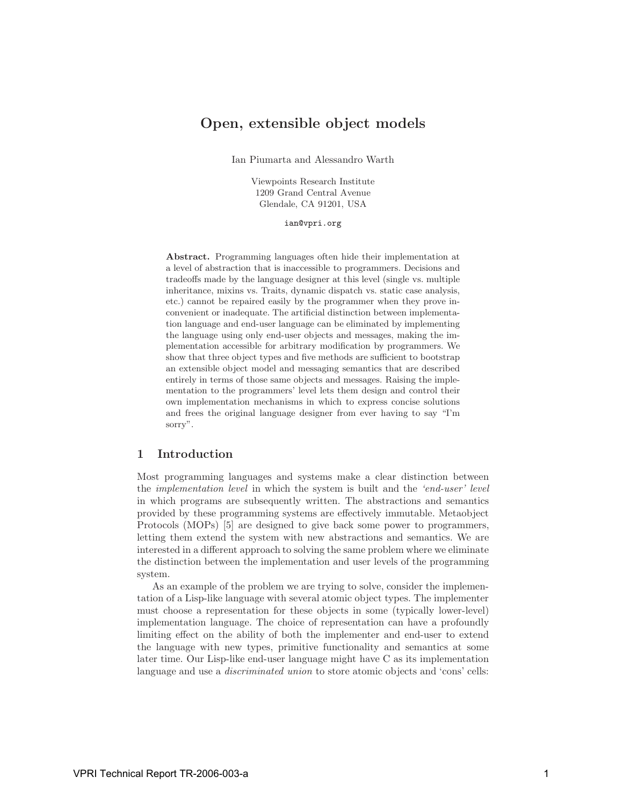# Open, extensible object models

Ian Piumarta and Alessandro Warth

Viewpoints Research Institute 1209 Grand Central Avenue Glendale, CA 91201, USA

ian@vpri.org

Abstract. Programming languages often hide their implementation at a level of abstraction that is inaccessible to programmers. Decisions and tradeoffs made by the language designer at this level (single vs. multiple inheritance, mixins vs. Traits, dynamic dispatch vs. static case analysis, etc.) cannot be repaired easily by the programmer when they prove inconvenient or inadequate. The artificial distinction between implementation language and end-user language can be eliminated by implementing the language using only end-user objects and messages, making the implementation accessible for arbitrary modification by programmers. We show that three object types and five methods are sufficient to bootstrap an extensible object model and messaging semantics that are described entirely in terms of those same objects and messages. Raising the implementation to the programmers' level lets them design and control their own implementation mechanisms in which to express concise solutions and frees the original language designer from ever having to say "I'm sorry".

## 1 Introduction

Most programming languages and systems make a clear distinction between the implementation level in which the system is built and the 'end-user' level in which programs are subsequently written. The abstractions and semantics provided by these programming systems are effectively immutable. Metaobject Protocols (MOPs) [5] are designed to give back some power to programmers, letting them extend the system with new abstractions and semantics. We are interested in a different approach to solving the same problem where we eliminate the distinction between the implementation and user levels of the programming system.

As an example of the problem we are trying to solve, consider the implementation of a Lisp-like language with several atomic object types. The implementer must choose a representation for these objects in some (typically lower-level) implementation language. The choice of representation can have a profoundly limiting effect on the ability of both the implementer and end-user to extend the language with new types, primitive functionality and semantics at some later time. Our Lisp-like end-user language might have C as its implementation language and use a *discriminated union* to store atomic objects and 'cons' cells: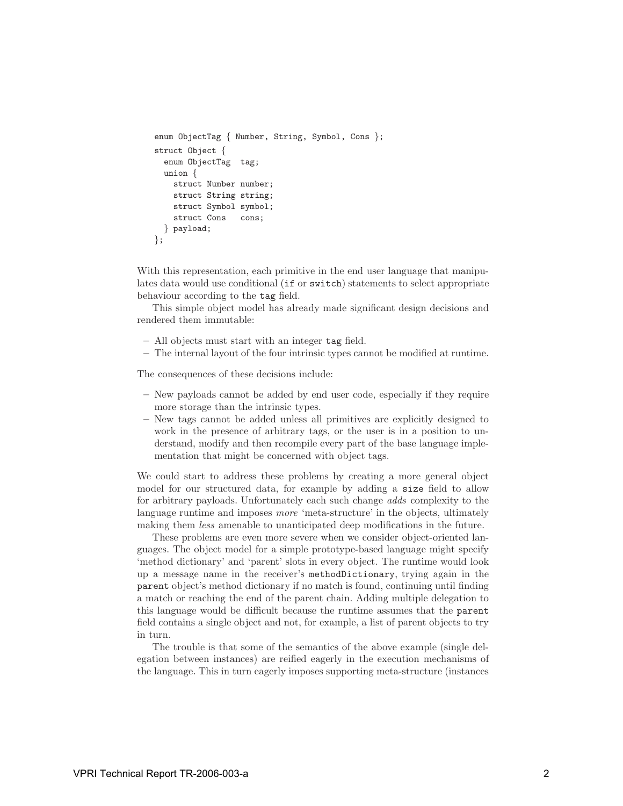```
enum ObjectTag { Number, String, Symbol, Cons };
struct Object {
  enum ObjectTag tag;
 union {
    struct Number number;
    struct String string;
    struct Symbol symbol;
    struct Cons cons;
  } payload;
};
```
With this representation, each primitive in the end user language that manipulates data would use conditional (if or switch) statements to select appropriate behaviour according to the tag field.

This simple object model has already made significant design decisions and rendered them immutable:

- All objects must start with an integer tag field.
- The internal layout of the four intrinsic types cannot be modified at runtime.

The consequences of these decisions include:

- New payloads cannot be added by end user code, especially if they require more storage than the intrinsic types.
- New tags cannot be added unless all primitives are explicitly designed to work in the presence of arbitrary tags, or the user is in a position to understand, modify and then recompile every part of the base language implementation that might be concerned with object tags.

We could start to address these problems by creating a more general object model for our structured data, for example by adding a size field to allow for arbitrary payloads. Unfortunately each such change adds complexity to the language runtime and imposes more 'meta-structure' in the objects, ultimately making them less amenable to unanticipated deep modifications in the future.

These problems are even more severe when we consider object-oriented languages. The object model for a simple prototype-based language might specify 'method dictionary' and 'parent' slots in every object. The runtime would look up a message name in the receiver's methodDictionary, trying again in the parent object's method dictionary if no match is found, continuing until finding a match or reaching the end of the parent chain. Adding multiple delegation to this language would be difficult because the runtime assumes that the parent field contains a single object and not, for example, a list of parent objects to try in turn.

The trouble is that some of the semantics of the above example (single delegation between instances) are reified eagerly in the execution mechanisms of the language. This in turn eagerly imposes supporting meta-structure (instances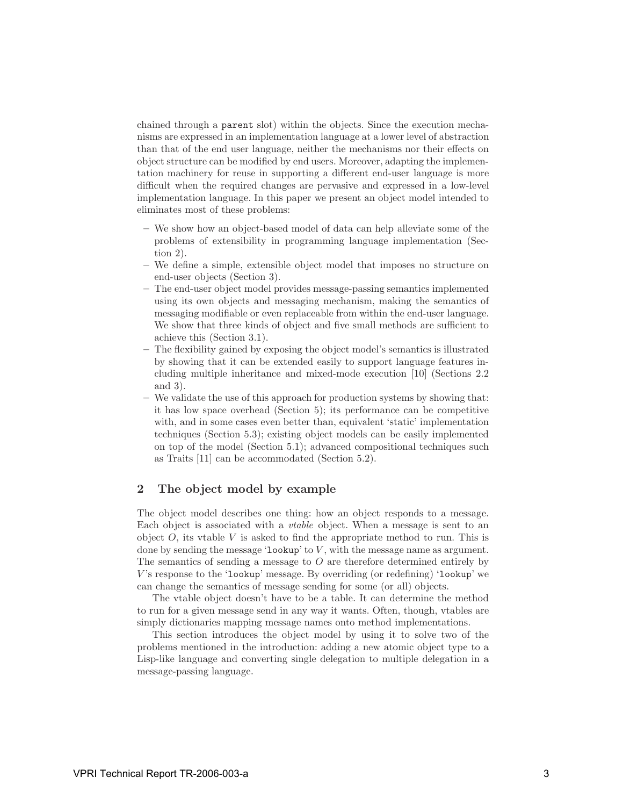chained through a parent slot) within the objects. Since the execution mechanisms are expressed in an implementation language at a lower level of abstraction than that of the end user language, neither the mechanisms nor their effects on object structure can be modified by end users. Moreover, adapting the implementation machinery for reuse in supporting a different end-user language is more difficult when the required changes are pervasive and expressed in a low-level implementation language. In this paper we present an object model intended to eliminates most of these problems:

- We show how an object-based model of data can help alleviate some of the problems of extensibility in programming language implementation (Section 2).
- We define a simple, extensible object model that imposes no structure on end-user objects (Section 3).
- The end-user object model provides message-passing semantics implemented using its own objects and messaging mechanism, making the semantics of messaging modifiable or even replaceable from within the end-user language. We show that three kinds of object and five small methods are sufficient to achieve this (Section 3.1).
- The flexibility gained by exposing the object model's semantics is illustrated by showing that it can be extended easily to support language features including multiple inheritance and mixed-mode execution [10] (Sections 2.2 and 3).
- We validate the use of this approach for production systems by showing that: it has low space overhead (Section 5); its performance can be competitive with, and in some cases even better than, equivalent 'static' implementation techniques (Section 5.3); existing object models can be easily implemented on top of the model (Section 5.1); advanced compositional techniques such as Traits [11] can be accommodated (Section 5.2).

# 2 The object model by example

The object model describes one thing: how an object responds to a message. Each object is associated with a vtable object. When a message is sent to an object  $O$ , its vtable  $V$  is asked to find the appropriate method to run. This is done by sending the message 'lookup' to  $V$ , with the message name as argument. The semantics of sending a message to  $O$  are therefore determined entirely by V's response to the 'lookup' message. By overriding (or redefining) 'lookup' we can change the semantics of message sending for some (or all) objects.

The vtable object doesn't have to be a table. It can determine the method to run for a given message send in any way it wants. Often, though, vtables are simply dictionaries mapping message names onto method implementations.

This section introduces the object model by using it to solve two of the problems mentioned in the introduction: adding a new atomic object type to a Lisp-like language and converting single delegation to multiple delegation in a message-passing language.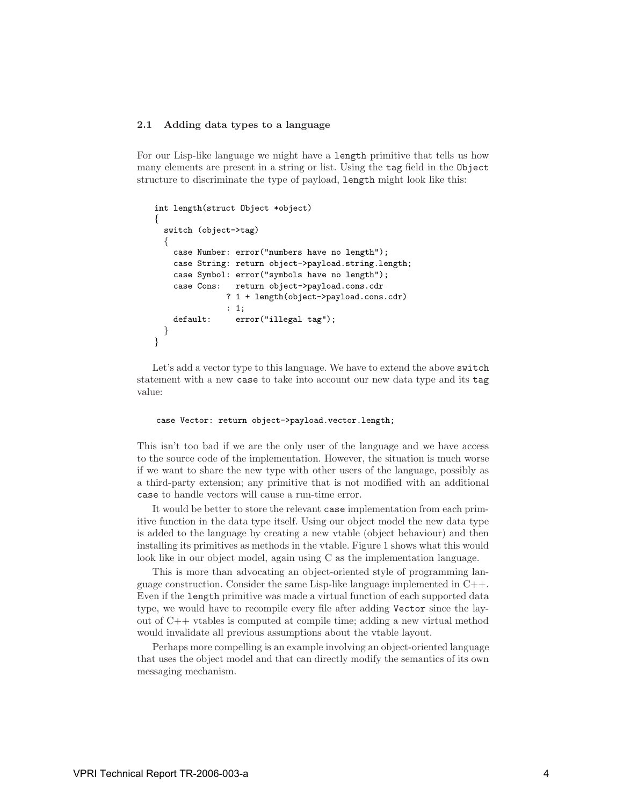#### 2.1 Adding data types to a language

For our Lisp-like language we might have a length primitive that tells us how many elements are present in a string or list. Using the tag field in the Object structure to discriminate the type of payload, length might look like this:

```
int length(struct Object *object)
{
  switch (object->tag)
  {
    case Number: error("numbers have no length");
    case String: return object->payload.string.length;
    case Symbol: error("symbols have no length");
    case Cons: return object->payload.cons.cdr
               ? 1 + length(object->payload.cons.cdr)
               : 1;
    default: error("illegal tag");
 }
}
```
Let's add a vector type to this language. We have to extend the above switch statement with a new case to take into account our new data type and its tag value:

#### case Vector: return object->payload.vector.length;

This isn't too bad if we are the only user of the language and we have access to the source code of the implementation. However, the situation is much worse if we want to share the new type with other users of the language, possibly as a third-party extension; any primitive that is not modified with an additional case to handle vectors will cause a run-time error.

It would be better to store the relevant case implementation from each primitive function in the data type itself. Using our object model the new data type is added to the language by creating a new vtable (object behaviour) and then installing its primitives as methods in the vtable. Figure 1 shows what this would look like in our object model, again using C as the implementation language.

This is more than advocating an object-oriented style of programming language construction. Consider the same Lisp-like language implemented in C++. Even if the length primitive was made a virtual function of each supported data type, we would have to recompile every file after adding Vector since the layout of C++ vtables is computed at compile time; adding a new virtual method would invalidate all previous assumptions about the vtable layout.

Perhaps more compelling is an example involving an object-oriented language that uses the object model and that can directly modify the semantics of its own messaging mechanism.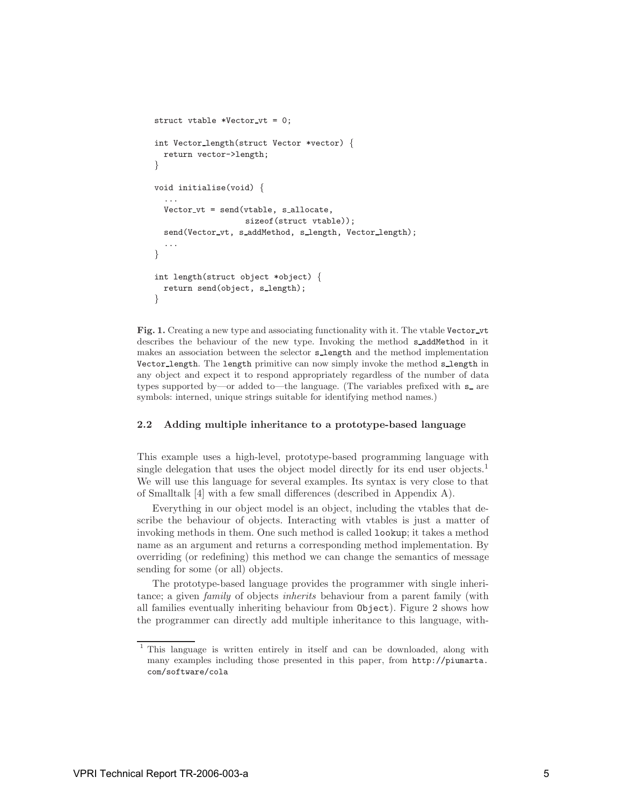```
struct vtable *Vector_vt = 0;
int Vector length(struct Vector *vector) {
 return vector->length;
}
void initialise(void) {
  ...
  Vector_vt = send(vtable, s_allocate,sizeof(struct vtable)):
  send(Vector_vt, s_addMethod, s_length, Vector_length);
  ...
}
int length(struct object *object) {
 return send(object, s length);
}
```
Fig. 1. Creating a new type and associating functionality with it. The vtable Vector\_vt describes the behaviour of the new type. Invoking the method s addMethod in it makes an association between the selector slength and the method implementation Vector\_length. The length primitive can now simply invoke the method s\_length in any object and expect it to respond appropriately regardless of the number of data types supported by—or added to—the language. (The variables prefixed with  $s$ <sub>-</sub> are symbols: interned, unique strings suitable for identifying method names.)

#### 2.2 Adding multiple inheritance to a prototype-based language

This example uses a high-level, prototype-based programming language with single delegation that uses the object model directly for its end user objects. 1 We will use this language for several examples. Its syntax is very close to that of Smalltalk [4] with a few small differences (described in Appendix A).

Everything in our object model is an object, including the vtables that describe the behaviour of objects. Interacting with vtables is just a matter of invoking methods in them. One such method is called lookup; it takes a method name as an argument and returns a corresponding method implementation. By overriding (or redefining) this method we can change the semantics of message sending for some (or all) objects.

The prototype-based language provides the programmer with single inheritance; a given family of objects inherits behaviour from a parent family (with all families eventually inheriting behaviour from Object). Figure 2 shows how the programmer can directly add multiple inheritance to this language, with-

<sup>1</sup> This language is written entirely in itself and can be downloaded, along with many examples including those presented in this paper, from http://piumarta. com/software/cola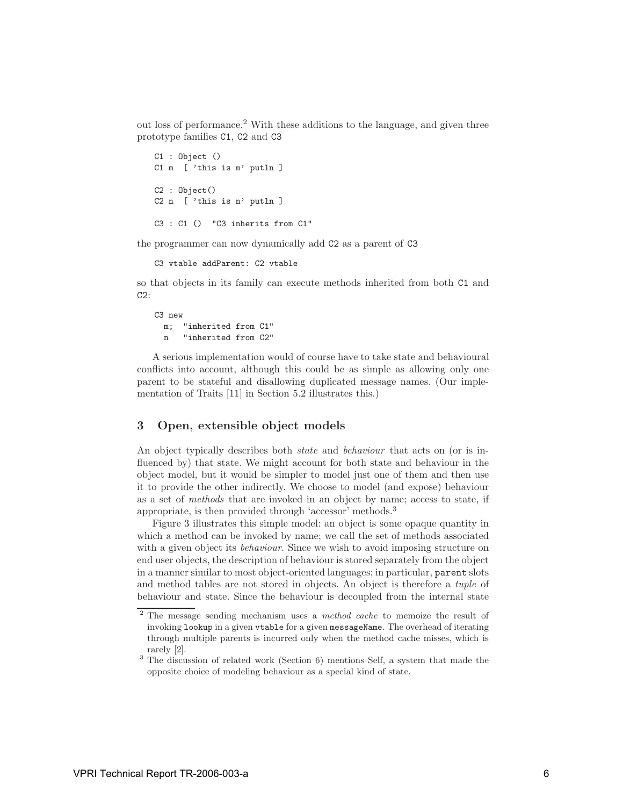out loss of performance. <sup>2</sup> With these additions to the language, and given three prototype families C1, C2 and C3

```
C1 : Object ()
C1 m [ 'this is m' putln ]
C2 : Object()
C2 n [ 'this is n' putln ]
C3 : C1 () "C3 inherits from C1"
```
the programmer can now dynamically add C2 as a parent of C3

```
C3 vtable addParent: C2 vtable
```
so that objects in its family can execute methods inherited from both C1 and C2:

C3 new m; "inherited from C1" n "inherited from C2"

A serious implementation would of course have to take state and behavioural conflicts into account, although this could be as simple as allowing only one parent to be stateful and disallowing duplicated message names. (Our implementation of Traits [11] in Section 5.2 illustrates this.)

# 3 Open, extensible object models

An object typically describes both *state* and *behaviour* that acts on (or is influenced by) that state. We might account for both state and behaviour in the object model, but it would be simpler to model just one of them and then use it to provide the other indirectly. We choose to model (and expose) behaviour as a set of methods that are invoked in an object by name; access to state, if appropriate, is then provided through 'accessor' methods.<sup>3</sup>

Figure 3 illustrates this simple model: an object is some opaque quantity in which a method can be invoked by name; we call the set of methods associated with a given object its *behaviour*. Since we wish to avoid imposing structure on end user objects, the description of behaviour is stored separately from the object in a manner similar to most object-oriented languages; in particular, parent slots and method tables are not stored in objects. An object is therefore a tuple of behaviour and state. Since the behaviour is decoupled from the internal state

<sup>&</sup>lt;sup>2</sup> The message sending mechanism uses a *method cache* to memoize the result of invoking lookup in a given vtable for a given messageName. The overhead of iterating through multiple parents is incurred only when the method cache misses, which is  $^3$  The discussion of related work (Section 6) mentions Self, a system that made the  $^3$ 

opposite choice of modeling behaviour as a special kind of state.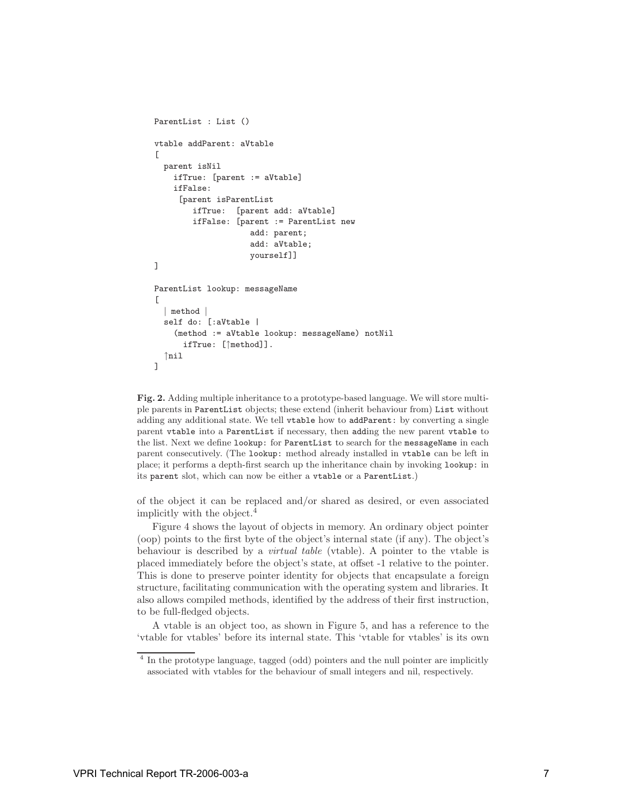```
ParentList : List ()
vtable addParent: aVtable
\sqrt{ }parent isNil
    ifTrue: [parent := aVtable]
    ifFalse:
     [parent isParentList
        ifTrue: [parent add: aVtable]
        ifFalse: [parent := ParentList new
                     add: parent;
                     add: aVtable;
                     yourself]]
]
ParentList lookup: messageName
\sqrt{ }| method |
  self do: [:aVtable |
    (method := aVtable lookup: messageName) notNil
      ifTrue: [↑method]].
  ↑nil
]
```
Fig. 2. Adding multiple inheritance to a prototype-based language. We will store multiple parents in ParentList objects; these extend (inherit behaviour from) List without adding any additional state. We tell vtable how to addParent: by converting a single parent vtable into a ParentList if necessary, then adding the new parent vtable to the list. Next we define lookup: for ParentList to search for the messageName in each parent consecutively. (The lookup: method already installed in vtable can be left in place; it performs a depth-first search up the inheritance chain by invoking lookup: in its parent slot, which can now be either a vtable or a ParentList.)

of the object it can be replaced and/or shared as desired, or even associated implicitly with the object. 4

Figure 4 shows the layout of objects in memory. An ordinary object pointer (oop) points to the first byte of the object's internal state (if any). The object's behaviour is described by a virtual table (vtable). A pointer to the vtable is placed immediately before the object's state, at offset -1 relative to the pointer. This is done to preserve pointer identity for objects that encapsulate a foreign structure, facilitating communication with the operating system and libraries. It also allows compiled methods, identified by the address of their first instruction, to be full-fledged objects.

A vtable is an object too, as shown in Figure 5, and has a reference to the 'vtable for vtables' before its internal state. This 'vtable for vtables' is its own

<sup>&</sup>lt;sup>4</sup> In the prototype language, tagged (odd) pointers and the null pointer are implicitly associated with vtables for the behaviour of small integers and nil, respectively.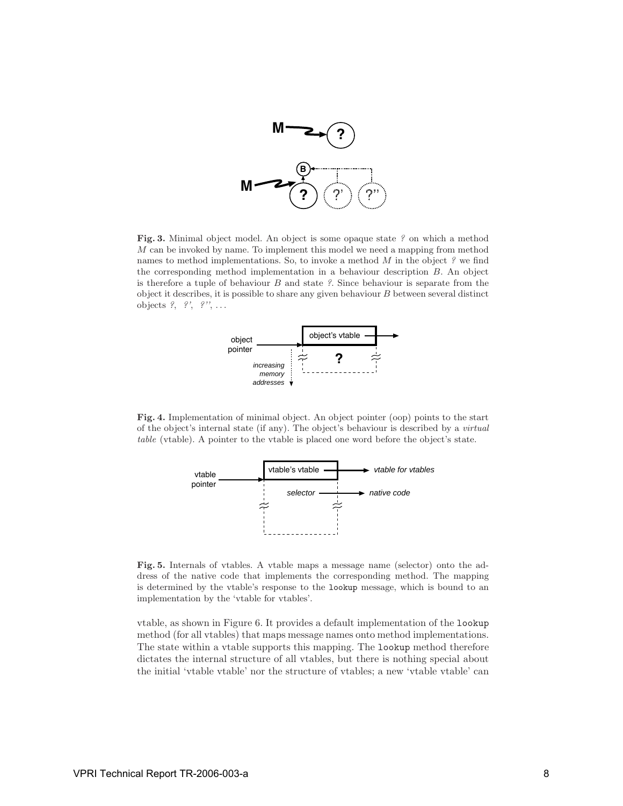

Fig. 3. Minimal object model. An object is some opaque state ? on which a method M can be invoked by name. To implement this model we need a mapping from method names to method implementations. So, to invoke a method  $M$  in the object  $\ell$  we find the corresponding method implementation in a behaviour description B. An object is therefore a tuple of behaviour  $B$  and state  $\ell$ . Since behaviour is separate from the object it describes, it is possible to share any given behaviour B between several distinct objects  $?, \t$  ?',  $?$ '', ...



Fig. 4. Implementation of minimal object. An object pointer (oop) points to the start of the object's internal state (if any). The object's behaviour is described by a virtual table (vtable). A pointer to the vtable is placed one word before the object's state.



Fig. 5. Internals of vtables. A vtable maps a message name (selector) onto the address of the native code that implements the corresponding method. The mapping is determined by the vtable's response to the lookup message, which is bound to an implementation by the 'vtable for vtables'.

vtable, as shown in Figure 6. It provides a default implementation of the lookup method (for all vtables) that maps message names onto method implementations. The state within a vtable supports this mapping. The lookup method therefore dictates the internal structure of all vtables, but there is nothing special about the initial 'vtable vtable' nor the structure of vtables; a new 'vtable vtable' can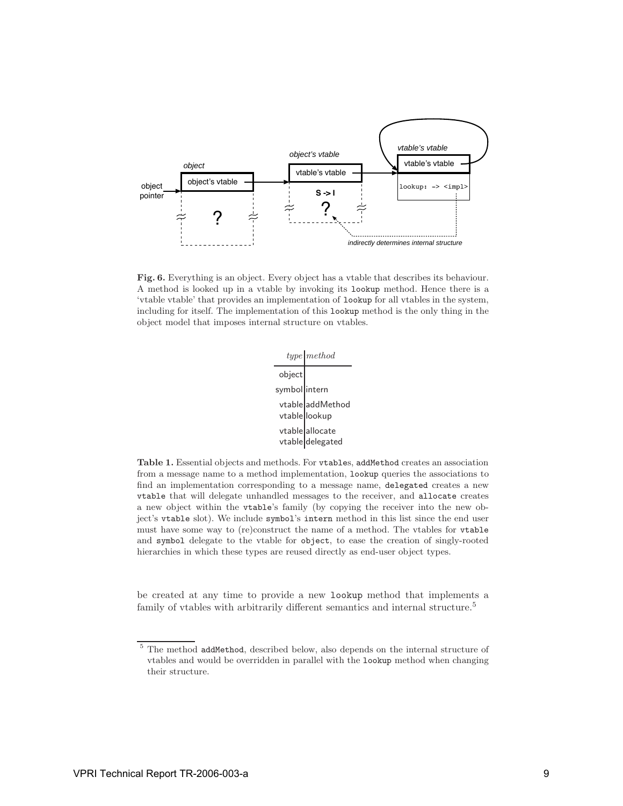

Fig. 6. Everything is an object. Every object has a vtable that describes its behaviour. A method is looked up in a vtable by invoking its lookup method. Hence there is a 'vtable vtable' that provides an implementation of lookup for all vtables in the system, including for itself. The implementation of this lookup method is the only thing in the object model that imposes internal structure on vtables.



Table 1. Essential objects and methods. For vtables, addMethod creates an association from a message name to a method implementation, lookup queries the associations to find an implementation corresponding to a message name, delegated creates a new vtable that will delegate unhandled messages to the receiver, and allocate creates a new object within the vtable's family (by copying the receiver into the new object's vtable slot). We include symbol's intern method in this list since the end user must have some way to (re)construct the name of a method. The vtables for vtable and symbol delegate to the vtable for object, to ease the creation of singly-rooted hierarchies in which these types are reused directly as end-user object types.

be created at any time to provide a new lookup method that implements a family of vtables with arbitrarily different semantics and internal structure.<sup>5</sup>

<sup>5</sup> The method addMethod, described below, also depends on the internal structure of vtables and would be overridden in parallel with the lookup method when changing their structure.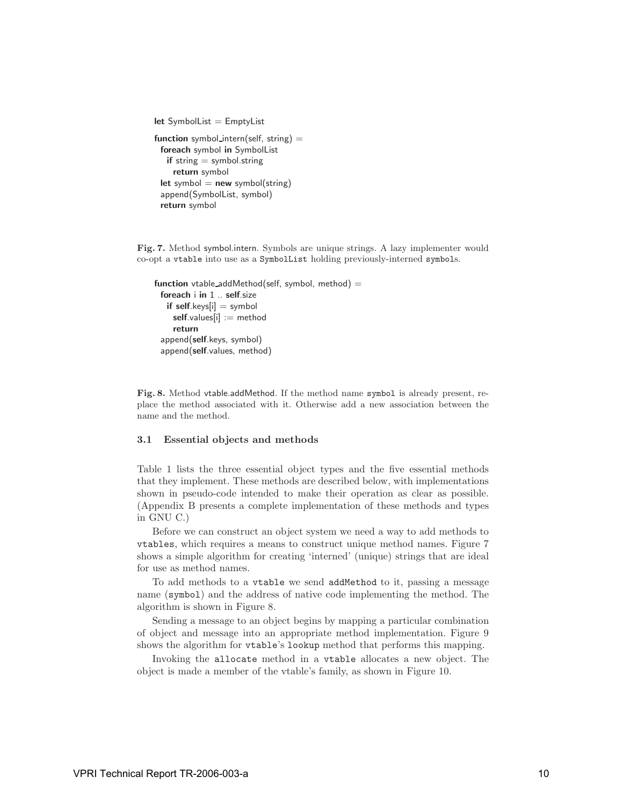```
let SymbolList = EmptyList
function symbol_intern(self, string) =foreach symbol in SymbolList
  if string = symbol.string
    return symbol
 let symbol = new symbol(string)
 append(SymbolList, symbol)
 return symbol
```
Fig. 7. Method symbol.intern. Symbols are unique strings. A lazy implementer would co-opt a vtable into use as a SymbolList holding previously-interned symbols.

```
function vtable_addMethod(self, symbol, method) =foreach i in 1 .. self.size
   if self.keys[i] = symbol
    self.values[i] := method
    return
 append(self.keys, symbol)
 append(self.values, method)
```
Fig. 8. Method vtable.addMethod. If the method name symbol is already present, replace the method associated with it. Otherwise add a new association between the name and the method.

#### 3.1 Essential objects and methods

Table 1 lists the three essential object types and the five essential methods that they implement. These methods are described below, with implementations shown in pseudo-code intended to make their operation as clear as possible. (Appendix B presents a complete implementation of these methods and types in GNU C.)

Before we can construct an object system we need a way to add methods to vtables, which requires a means to construct unique method names. Figure 7 shows a simple algorithm for creating 'interned' (unique) strings that are ideal for use as method names.

To add methods to a vtable we send addMethod to it, passing a message name (symbol) and the address of native code implementing the method. The algorithm is shown in Figure 8.

Sending a message to an object begins by mapping a particular combination of object and message into an appropriate method implementation. Figure 9 shows the algorithm for vtable's lookup method that performs this mapping.

Invoking the allocate method in a vtable allocates a new object. The object is made a member of the vtable's family, as shown in Figure 10.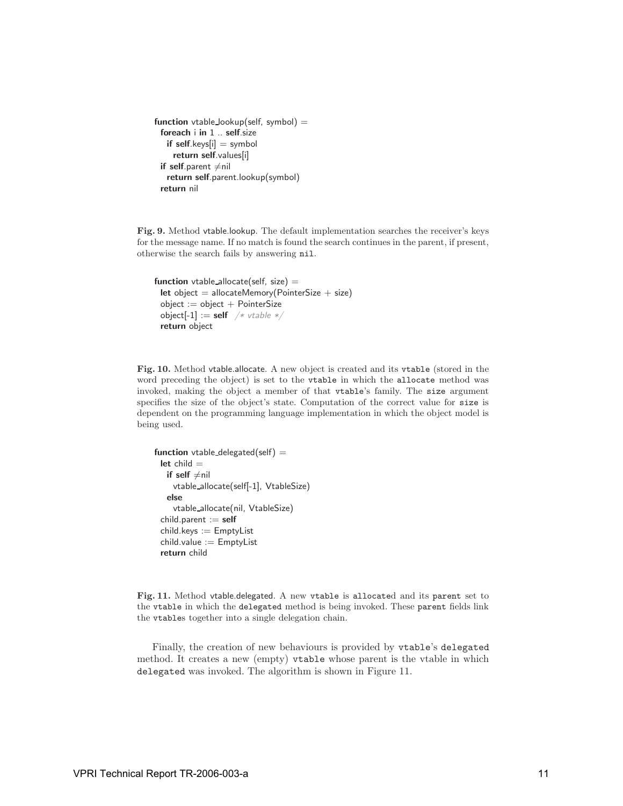```
function vtable_lookup(self, symbol) =foreach i in 1 .. self.size
   if self.keys[i] = symbolreturn self.values[i]
 if self.parent \neqnil
   return self.parent.lookup(symbol)
 return nil
```
Fig. 9. Method vtable.lookup. The default implementation searches the receiver's keys for the message name. If no match is found the search continues in the parent, if present, otherwise the search fails by answering nil.

```
function vtable allocate(self, size) =let object = allocateMemory(PointerSize + size)
 object := object + Pointersizeobject[-1] := self /* vtable */
 return object
```
Fig. 10. Method vtable.allocate. A new object is created and its vtable (stored in the word preceding the object) is set to the vtable in which the allocate method was invoked, making the object a member of that vtable's family. The size argument specifies the size of the object's state. Computation of the correct value for size is dependent on the programming language implementation in which the object model is being used.

```
function vtable_delegated(self) =let child =if self \neqnil
     vtable allocate(self[-1], VtableSize)
   else
     vtable allocate(nil, VtableSize)
 child.parent := self
 child.keys := EmptyList
 child.value := EmptyList
 return child
```
Fig. 11. Method vtable.delegated. A new vtable is allocated and its parent set to the vtable in which the delegated method is being invoked. These parent fields link the vtables together into a single delegation chain.

Finally, the creation of new behaviours is provided by vtable's delegated method. It creates a new (empty) vtable whose parent is the vtable in which delegated was invoked. The algorithm is shown in Figure 11.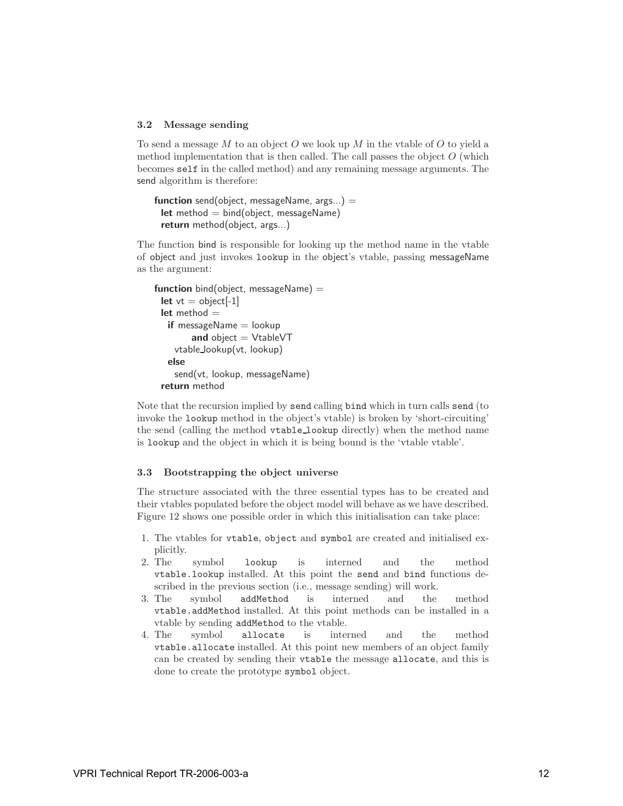#### 3.2 Message sending

To send a message M to an object O we look up M in the vtable of O to yield a method implementation that is then called. The call passes the object  $O$  (which becomes self in the called method) and any remaining message arguments. The send algorithm is therefore:

```
function send(object, messageName, args...) =
 let method = bind(object, messageName)
 return method(object, args...)
```
The function bind is responsible for looking up the method name in the vtable of object and just invokes lookup in the object's vtable, passing messageName as the argument:

```
function bind(object, messageName) =let vt = object[-1]let method =if messageName = lookup
       and object = VtableVTvtable lookup(vt, lookup)
  else
    send(vt, lookup, messageName)
 return method
```
Note that the recursion implied by send calling bind which in turn calls send (to invoke the lookup method in the object's vtable) is broken by 'short-circuiting' the send (calling the method vtable lookup directly) when the method name is lookup and the object in which it is being bound is the 'vtable vtable'.

#### 3.3 Bootstrapping the object universe

The structure associated with the three essential types has to be created and their vtables populated before the object model will behave as we have described. Figure 12 shows one possible order in which this initialisation can take place:

- 1. The vtables for vtable, object and symbol are created and initialised explicitly.
- 2. The symbol lookup is interned and the method vtable.lookup installed. At this point the send and bind functions described in the previous section (i.e., message sending) will work.
- 3. The symbol addMethod is interned and the method vtable.addMethod installed. At this point methods can be installed in a vtable by sending addMethod to the vtable.
- 4. The symbol allocate is interned and the method vtable.allocate installed. At this point new members of an object family can be created by sending their vtable the message allocate, and this is done to create the prototype symbol object.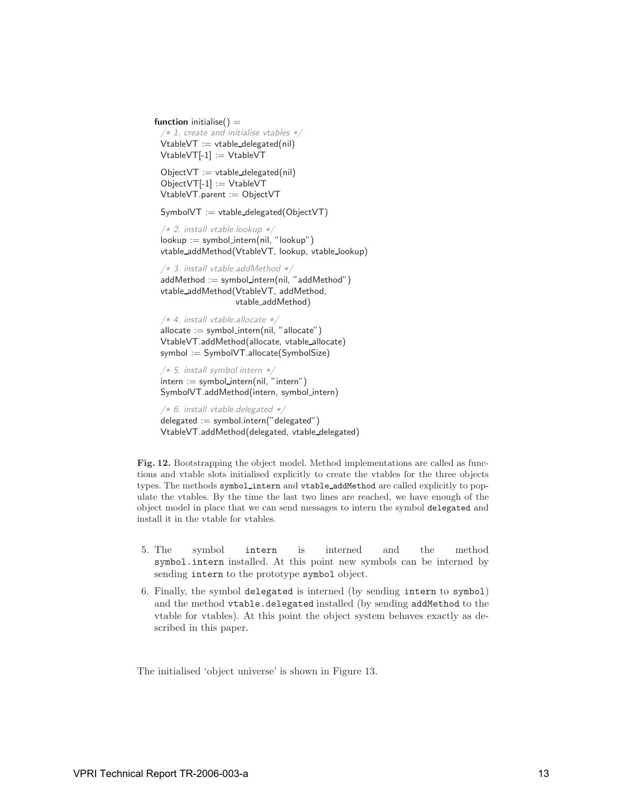```
function initialise() =/* 1. create and initialise vtables */VtableVT := vtable\_deleted(nil)VtableVT[-1] := VtableVT
```
 $ObjectVT := vtable\_deleted(nil)$  $ObjectVT[-1] := VtableVT$ VtableVT.parent := ObjectVT

 $SymbolVT := vtable\_deleted(ObjectVT)$ 

```
/* 2. install vtable.lookup */
lookup := symbol_intern(nil, "lookup")
vtable addMethod(VtableVT, lookup, vtable lookup)
```

```
/* 3. install vtable.addMethod */addMethod := symbol\_intern(nil, "addMethod")vtable addMethod(VtableVT, addMethod,
                 vtable addMethod)
```

```
/* 4. install vtable.allocate */allocate := symbol\_intern(nil, "allocate")VtableVT.addMethod(allocate, vtable allocate)
symbol := SymbolVT.allocate(SymbolSize)
```

```
/* 5. install symbol.intern */intern := symbol\_intern(nil, "intern")SymbolVT.addMethod(intern, symbol intern)
```

```
/* 6. install vtable.delegated */delegated := symbol.intern("delegated")
VtableVT.addMethod(delegated, vtable delegated)
```
Fig. 12. Bootstrapping the object model. Method implementations are called as functions and vtable slots initialised explicitly to create the vtables for the three objects types. The methods symbol intern and vtable addMethod are called explicitly to populate the vtables. By the time the last two lines are reached, we have enough of the object model in place that we can send messages to intern the symbol delegated and install it in the vtable for vtables.

- 5. The symbol intern is interned and the method symbol.intern installed. At this point new symbols can be interned by sending intern to the prototype symbol object.
- 6. Finally, the symbol delegated is interned (by sending intern to symbol) and the method vtable.delegated installed (by sending addMethod to the vtable for vtables). At this point the object system behaves exactly as described in this paper.

The initialised 'object universe' is shown in Figure 13.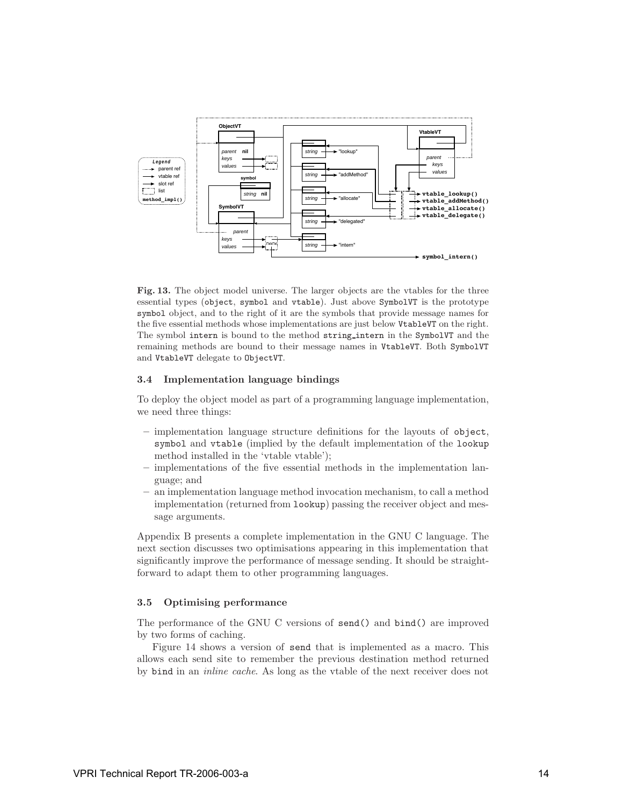

Fig. 13. The object model universe. The larger objects are the vtables for the three essential types (object, symbol and vtable). Just above SymbolVT is the prototype symbol object, and to the right of it are the symbols that provide message names for the five essential methods whose implementations are just below VtableVT on the right. The symbol intern is bound to the method string intern in the SymbolVT and the remaining methods are bound to their message names in VtableVT. Both SymbolVT and VtableVT delegate to ObjectVT.

#### 3.4 Implementation language bindings

To deploy the object model as part of a programming language implementation, we need three things:

- implementation language structure definitions for the layouts of object, symbol and vtable (implied by the default implementation of the lookup method installed in the 'vtable vtable');
- implementations of the five essential methods in the implementation language; and
- an implementation language method invocation mechanism, to call a method implementation (returned from lookup) passing the receiver object and message arguments.

Appendix B presents a complete implementation in the GNU C language. The next section discusses two optimisations appearing in this implementation that significantly improve the performance of message sending. It should be straightforward to adapt them to other programming languages.

#### 3.5 Optimising performance

The performance of the GNU C versions of send() and bind() are improved by two forms of caching.

Figure 14 shows a version of send that is implemented as a macro. This allows each send site to remember the previous destination method returned by bind in an inline cache. As long as the vtable of the next receiver does not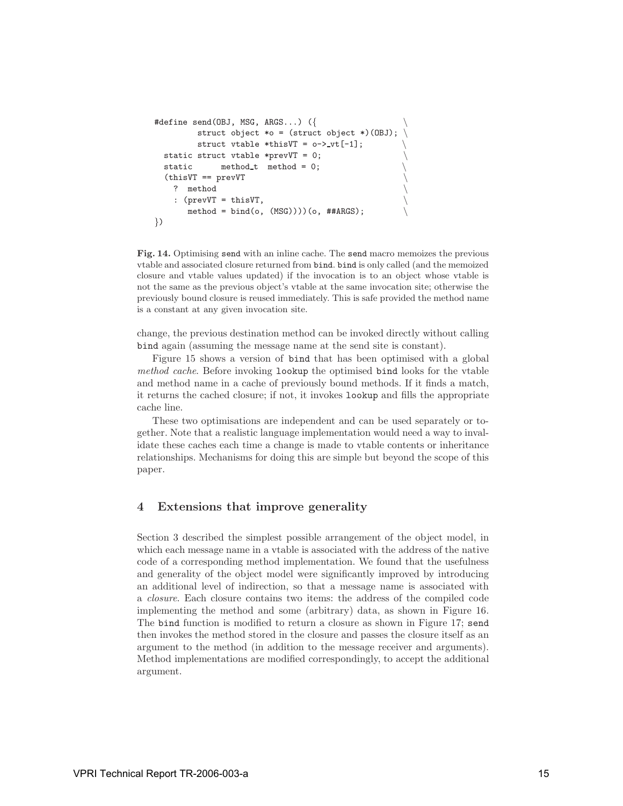```
#define send(OBJ, MSG, ARGS...) ({ \
         struct object *o = (struct object *) (OBJ); \
         struct vtable *thisVT = o \rightarrow vt[-1];
  static struct vtable *prevVT = 0; \
  static method_t method = 0;
  (thisVT == prevVT \
    ? method \
    : (prevVT = thisVT, \
       method = bind(o, (MSG))))(o, \#4RGS);
})
```
Fig. 14. Optimising send with an inline cache. The send macro memoizes the previous vtable and associated closure returned from bind. bind is only called (and the memoized closure and vtable values updated) if the invocation is to an object whose vtable is not the same as the previous object's vtable at the same invocation site; otherwise the previously bound closure is reused immediately. This is safe provided the method name is a constant at any given invocation site.

change, the previous destination method can be invoked directly without calling bind again (assuming the message name at the send site is constant).

Figure 15 shows a version of bind that has been optimised with a global method cache. Before invoking **lookup** the optimised bind looks for the vtable and method name in a cache of previously bound methods. If it finds a match, it returns the cached closure; if not, it invokes lookup and fills the appropriate cache line.

These two optimisations are independent and can be used separately or together. Note that a realistic language implementation would need a way to invalidate these caches each time a change is made to vtable contents or inheritance relationships. Mechanisms for doing this are simple but beyond the scope of this paper.

## 4 Extensions that improve generality

Section 3 described the simplest possible arrangement of the object model, in which each message name in a vtable is associated with the address of the native code of a corresponding method implementation. We found that the usefulness and generality of the object model were significantly improved by introducing an additional level of indirection, so that a message name is associated with a closure. Each closure contains two items: the address of the compiled code implementing the method and some (arbitrary) data, as shown in Figure 16. The bind function is modified to return a closure as shown in Figure 17; send then invokes the method stored in the closure and passes the closure itself as an argument to the method (in addition to the message receiver and arguments). Method implementations are modified correspondingly, to accept the additional argument.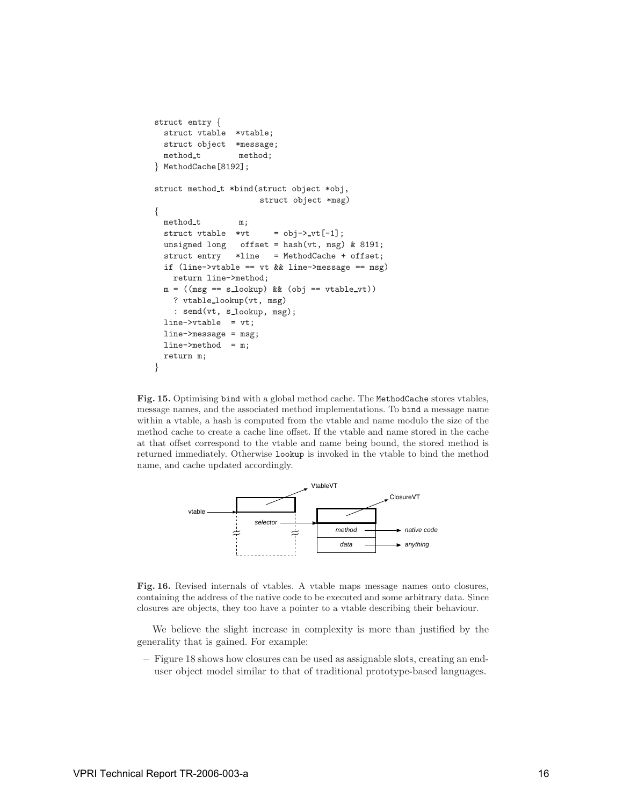```
struct entry {
  struct vtable *vtable;
  struct object *message;
  method_t method;
} MethodCache[8192];
struct method_t *bind(struct object *obj,
                     struct object *msg)
{
  method_t m;
  struct vtable *vt = obj->_vt[-1];
 unsigned long offset = hash(vt, msg) & 8191;
  struct entry *line = MethodCache + offset;
  if (line->vtable == vt && line->message == msg)
   return line->method;
 m = ((msg == s\_lookup) & (obj == vtable_vt))? vtable lookup(vt, msg)
    : send(vt, s lookup, msg);
  line->vtable = vt;
  line->message = msg;
 line->method = m;
  return m;
}
```
Fig. 15. Optimising bind with a global method cache. The MethodCache stores vtables, message names, and the associated method implementations. To bind a message name within a vtable, a hash is computed from the vtable and name modulo the size of the method cache to create a cache line offset. If the vtable and name stored in the cache at that offset correspond to the vtable and name being bound, the stored method is returned immediately. Otherwise lookup is invoked in the vtable to bind the method name, and cache updated accordingly.



Fig. 16. Revised internals of vtables. A vtable maps message names onto closures, containing the address of the native code to be executed and some arbitrary data. Since closures are objects, they too have a pointer to a vtable describing their behaviour.

We believe the slight increase in complexity is more than justified by the generality that is gained. For example:

– Figure 18 shows how closures can be used as assignable slots, creating an enduser object model similar to that of traditional prototype-based languages.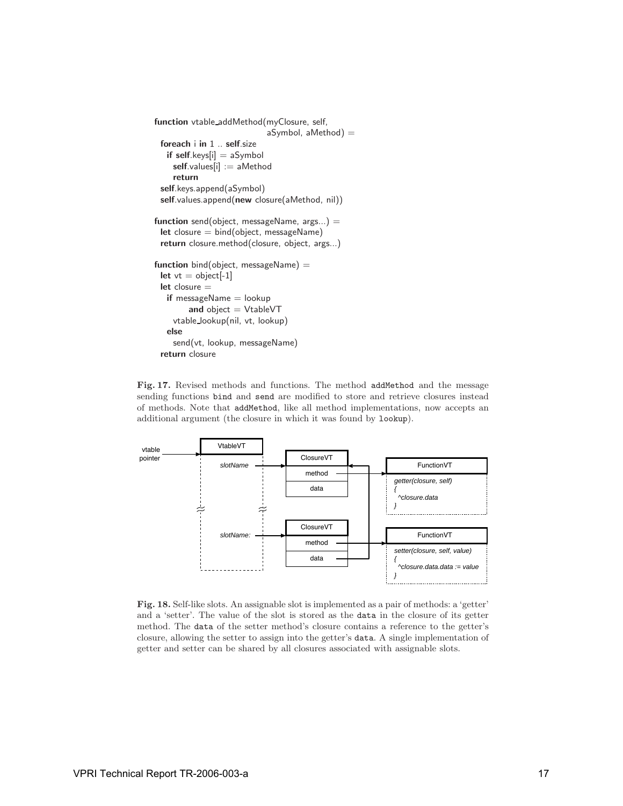```
function vtable addMethod(myClosure, self,
                           aSymbol, aMethod) =
 foreach i in 1 .. self.size
   if self.keys[i] = aSymbol
    self.values[i] := aMethod
    return
 self.keys.append(aSymbol)
 self.values.append(new closure(aMethod, nil))
function send(object, messageName, args...) =
 let closure = bind(object, messageName)
 return closure.method(closure, object, args...)
function bind(object, messageName) =let vt = object[-1]let closure =if messageName = lookup
        and object = VtableVTvtable lookup(nil, vt, lookup)
   else
    send(vt, lookup, messageName)
 return closure
```
Fig. 17. Revised methods and functions. The method addMethod and the message sending functions bind and send are modified to store and retrieve closures instead of methods. Note that addMethod, like all method implementations, now accepts an additional argument (the closure in which it was found by lookup).



Fig. 18. Self-like slots. An assignable slot is implemented as a pair of methods: a 'getter' and a 'setter'. The value of the slot is stored as the data in the closure of its getter method. The data of the setter method's closure contains a reference to the getter's closure, allowing the setter to assign into the getter's data. A single implementation of getter and setter can be shared by all closures associated with assignable slots.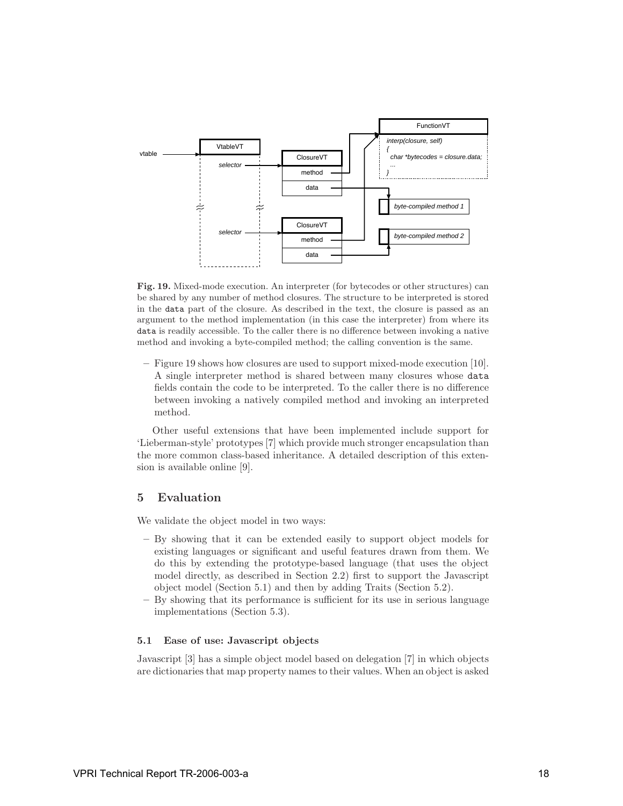

Fig. 19. Mixed-mode execution. An interpreter (for bytecodes or other structures) can be shared by any number of method closures. The structure to be interpreted is stored in the data part of the closure. As described in the text, the closure is passed as an argument to the method implementation (in this case the interpreter) from where its data is readily accessible. To the caller there is no difference between invoking a native method and invoking a byte-compiled method; the calling convention is the same.

– Figure 19 shows how closures are used to support mixed-mode execution [10]. A single interpreter method is shared between many closures whose data fields contain the code to be interpreted. To the caller there is no difference between invoking a natively compiled method and invoking an interpreted method.

Other useful extensions that have been implemented include support for 'Lieberman-style' prototypes [7] which provide much stronger encapsulation than the more common class-based inheritance. A detailed description of this extension is available online [9].

# 5 Evaluation

We validate the object model in two ways:

- By showing that it can be extended easily to support object models for existing languages or significant and useful features drawn from them. We do this by extending the prototype-based language (that uses the object model directly, as described in Section 2.2) first to support the Javascript object model (Section 5.1) and then by adding Traits (Section 5.2).
- By showing that its performance is sufficient for its use in serious language implementations (Section 5.3).

#### 5.1 Ease of use: Javascript objects

Javascript [3] has a simple object model based on delegation [7] in which objects are dictionaries that map property names to their values. When an object is asked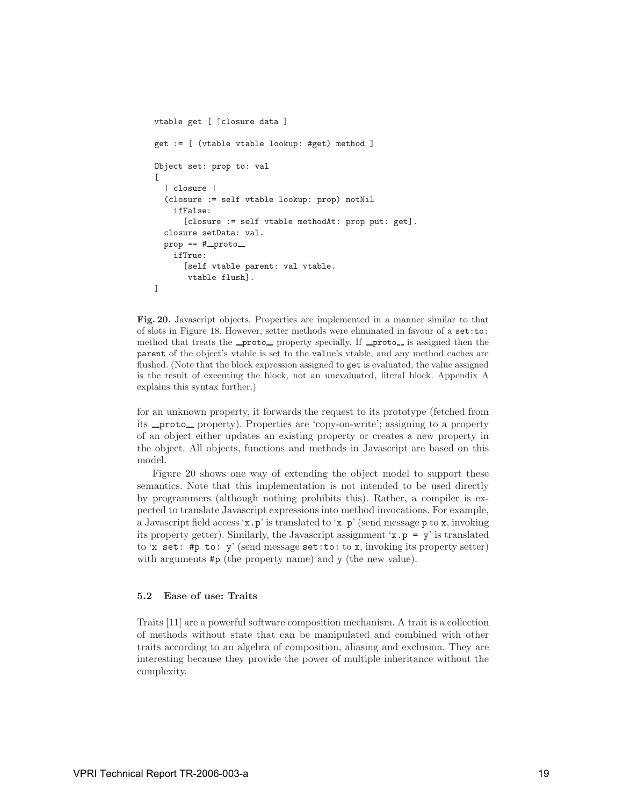```
vtable get [ ↑closure data ]
get := [ (vtable vtable lookup: #get) method ]
Object set: prop to: val
\Gamma| closure |
  (closure := self vtable lookup: prop) notNil
    ifFalse:
      [closure := self vtable methodAt: prop put: get].
  closure setData: val.
 prop == #\_protoifTrue:
      [self vtable parent: val vtable.
       vtable flush].
]
```
Fig. 20. Javascript objects. Properties are implemented in a manner similar to that of slots in Figure 18. However, setter methods were eliminated in favour of a set:to: method that treats the **proto** property specially. If **proto** is assigned then the parent of the object's vtable is set to the value's vtable, and any method caches are flushed. (Note that the block expression assigned to get is evaluated; the value assigned is the result of executing the block, not an unevaluated, literal block. Appendix A explains this syntax further.)

for an unknown property, it forwards the request to its prototype (fetched from its **\_proto** property). Properties are 'copy-on-write'; assigning to a property of an object either updates an existing property or creates a new property in the object. All objects, functions and methods in Javascript are based on this model.

Figure 20 shows one way of extending the object model to support these semantics. Note that this implementation is not intended to be used directly by programmers (although nothing prohibits this). Rather, a compiler is expected to translate Javascript expressions into method invocations. For example, a Javascript field access 'x.p' is translated to 'x p' (send message p to x, invoking its property getter). Similarly, the Javascript assignment ' $x \cdot p = y'$  is translated to 'x set: #p to: y' (send message set:to: to x, invoking its property setter) with arguments  $\#p$  (the property name) and y (the new value).

#### 5.2 Ease of use: Traits

Traits [11] are a powerful software composition mechanism. A trait is a collection of methods without state that can be manipulated and combined with other traits according to an algebra of composition, aliasing and exclusion. They are interesting because they provide the power of multiple inheritance without the complexity.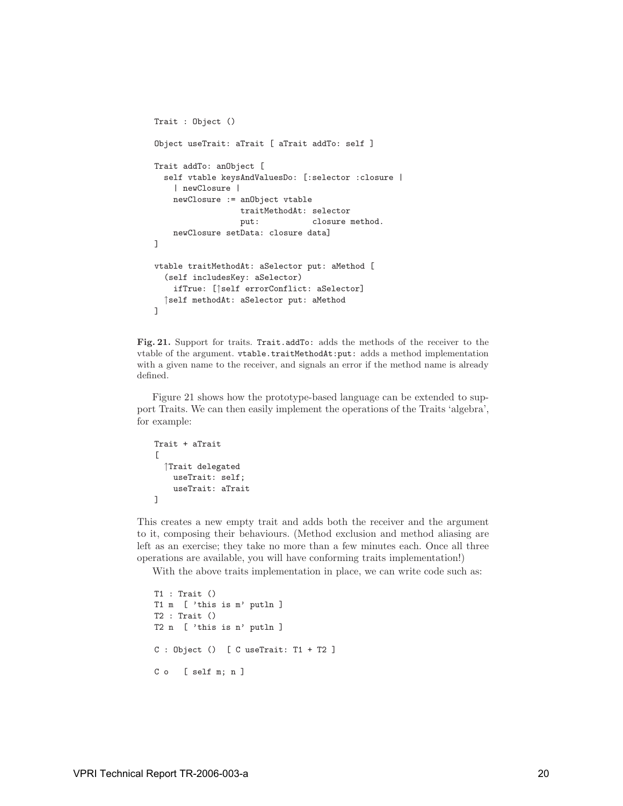```
Trait : Object ()
Object useTrait: aTrait [ aTrait addTo: self ]
Trait addTo: anObject [
  self vtable keysAndValuesDo: [:selector :closure |
    | newClosure |
    newClosure := anObject vtable
                  traitMethodAt: selector
                                 closure method.
    newClosure setData: closure data]
]
vtable traitMethodAt: aSelector put: aMethod [
  (self includesKey: aSelector)
    ifTrue: [↑self errorConflict: aSelector]
  ↑self methodAt: aSelector put: aMethod
]
```
Fig. 21. Support for traits. Trait.addTo: adds the methods of the receiver to the vtable of the argument. vtable.traitMethodAt:put: adds a method implementation with a given name to the receiver, and signals an error if the method name is already defined.

Figure 21 shows how the prototype-based language can be extended to support Traits. We can then easily implement the operations of the Traits 'algebra', for example:

```
Trait + aTrait
\Gamma↑Trait delegated
    useTrait: self;
    useTrait: aTrait
]
```
This creates a new empty trait and adds both the receiver and the argument to it, composing their behaviours. (Method exclusion and method aliasing are left as an exercise; they take no more than a few minutes each. Once all three operations are available, you will have conforming traits implementation!)

With the above traits implementation in place, we can write code such as:

```
T1 : Trait ()
T1 m [ 'this is m' putln ]
T2 : Trait ()
T2 n [ 'this is n' putln ]
C : Object () [ C useTrait: T1 + T2 ]
C o [ self m; n ]
```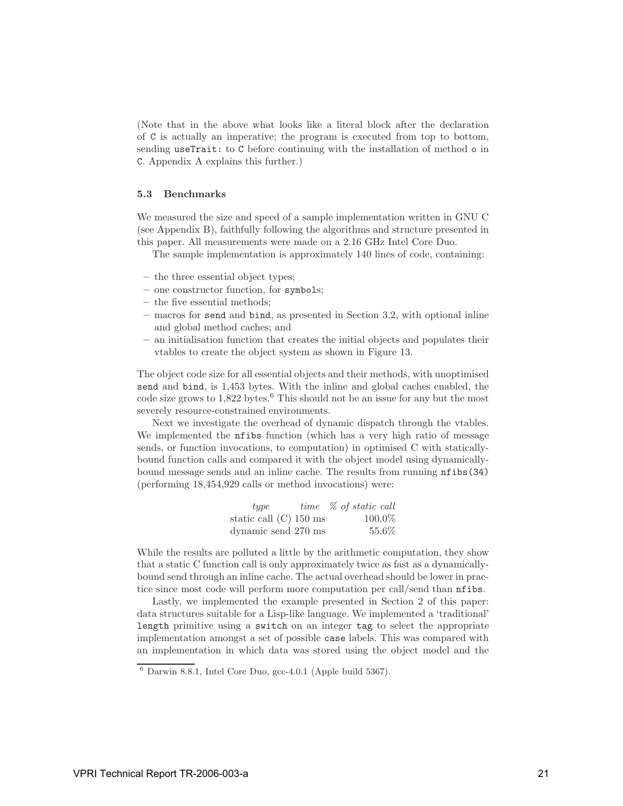(Note that in the above what looks like a literal block after the declaration of C is actually an imperative; the program is executed from top to bottom, sending useTrait: to C before continuing with the installation of method o in C. Appendix A explains this further.)

#### 5.3 Benchmarks

We measured the size and speed of a sample implementation written in GNU C (see Appendix B), faithfully following the algorithms and structure presented in this paper. All measurements were made on a 2.16 GHz Intel Core Duo.

The sample implementation is approximately 140 lines of code, containing:

- the three essential object types;
- one constructor function, for symbols;
- the five essential methods;
- macros for send and bind, as presented in Section 3.2, with optional inline and global method caches; and
- an initialisation function that creates the initial objects and populates their vtables to create the object system as shown in Figure 13.

The object code size for all essential objects and their methods, with unoptimised send and bind, is 1,453 bytes. With the inline and global caches enabled, the code size grows to 1,822 bytes. <sup>6</sup> This should not be an issue for any but the most severely resource-constrained environments.

Next we investigate the overhead of dynamic dispatch through the vtables. We implemented the nfibs function (which has a very high ratio of message sends, or function invocations, to computation) in optimised C with staticallybound function calls and compared it with the object model using dynamicallybound message sends and an inline cache. The results from running nfibs(34) (performing 18,454,929 calls or method invocations) were:

| type                     |  | time % of static call |
|--------------------------|--|-----------------------|
| static call $(C)$ 150 ms |  | $100.0\%$             |
| dynamic send 270 ms      |  | 55.6%                 |

While the results are polluted a little by the arithmetic computation, they show that a static C function call is only approximately twice as fast as a dynamicallybound send through an inline cache. The actual overhead should be lower in practice since most code will perform more computation per call/send than nfibs.

Lastly, we implemented the example presented in Section 2 of this paper: data structures suitable for a Lisp-like language. We implemented a 'traditional' length primitive using a switch on an integer tag to select the appropriate implementation amongst a set of possible case labels. This was compared with an implementation in which data was stored using the object model and the

 $\overline{6}$  Darwin 8.8.1, Intel Core Duo, gcc-4.0.1 (Apple build 5367).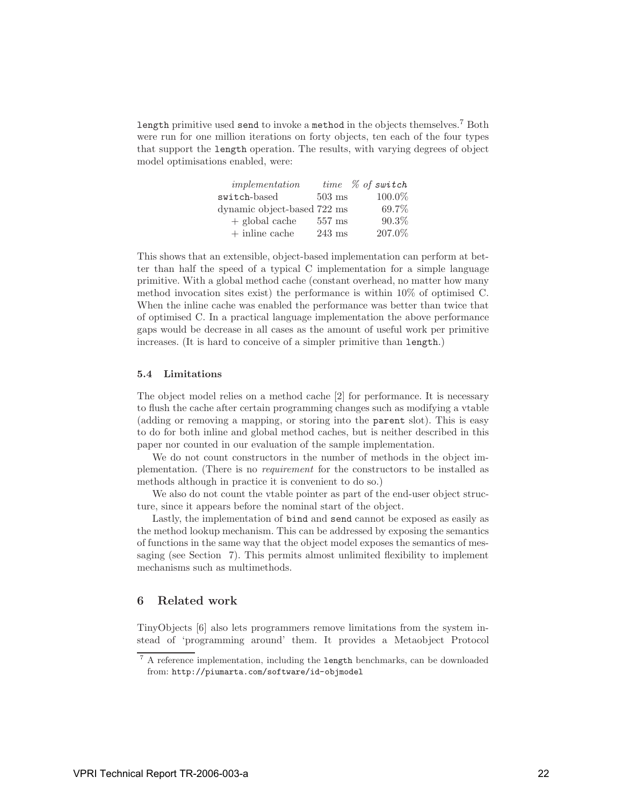length primitive used send to invoke a method in the objects themselves. <sup>7</sup> Both were run for one million iterations on forty objects, ten each of the four types that support the length operation. The results, with varying degrees of object model optimisations enabled, were:

| implementation              |          | time $\%$ of switch |
|-----------------------------|----------|---------------------|
| switch-based                | $503$ ms | 100.0%              |
| dynamic object-based 722 ms |          | 69.7%               |
| $+$ global cache            | $557$ ms | 90.3%               |
| $+$ inline cache            | $243$ ms | 207.0%              |

This shows that an extensible, object-based implementation can perform at better than half the speed of a typical C implementation for a simple language primitive. With a global method cache (constant overhead, no matter how many method invocation sites exist) the performance is within 10% of optimised C. When the inline cache was enabled the performance was better than twice that of optimised C. In a practical language implementation the above performance gaps would be decrease in all cases as the amount of useful work per primitive increases. (It is hard to conceive of a simpler primitive than length.)

#### 5.4 Limitations

The object model relies on a method cache [2] for performance. It is necessary to flush the cache after certain programming changes such as modifying a vtable (adding or removing a mapping, or storing into the parent slot). This is easy to do for both inline and global method caches, but is neither described in this paper nor counted in our evaluation of the sample implementation.

We do not count constructors in the number of methods in the object implementation. (There is no requirement for the constructors to be installed as methods although in practice it is convenient to do so.)

We also do not count the vtable pointer as part of the end-user object structure, since it appears before the nominal start of the object.

Lastly, the implementation of bind and send cannot be exposed as easily as the method lookup mechanism. This can be addressed by exposing the semantics of functions in the same way that the object model exposes the semantics of messaging (see Section 7). This permits almost unlimited flexibility to implement mechanisms such as multimethods.

# 6 Related work

TinyObjects [6] also lets programmers remove limitations from the system instead of 'programming around' them. It provides a Metaobject Protocol

 $\frac{7}{7}$  A reference implementation, including the length benchmarks, can be downloaded from: http://piumarta.com/software/id-objmodel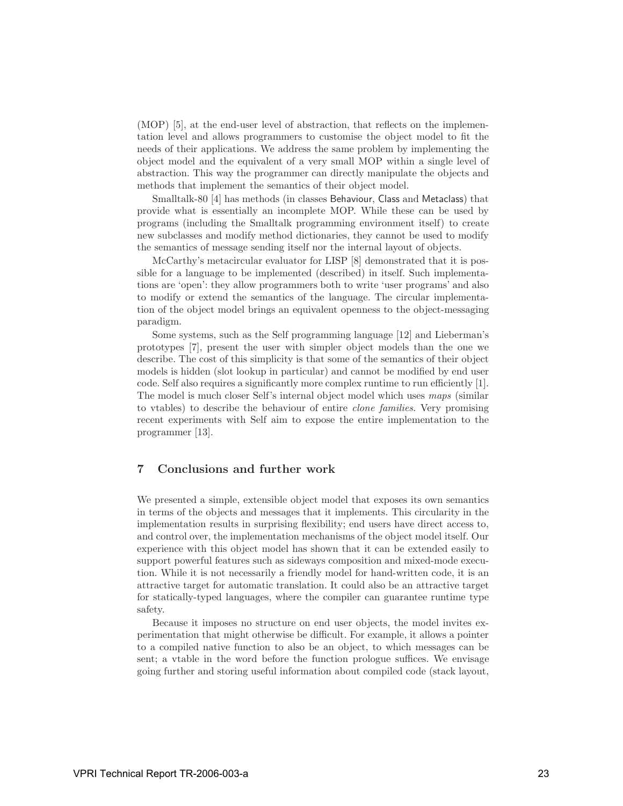(MOP) [5], at the end-user level of abstraction, that reflects on the implementation level and allows programmers to customise the object model to fit the needs of their applications. We address the same problem by implementing the object model and the equivalent of a very small MOP within a single level of abstraction. This way the programmer can directly manipulate the objects and methods that implement the semantics of their object model.

Smalltalk-80 [4] has methods (in classes Behaviour, Class and Metaclass) that provide what is essentially an incomplete MOP. While these can be used by programs (including the Smalltalk programming environment itself) to create new subclasses and modify method dictionaries, they cannot be used to modify the semantics of message sending itself nor the internal layout of objects.

McCarthy's metacircular evaluator for LISP [8] demonstrated that it is possible for a language to be implemented (described) in itself. Such implementations are 'open': they allow programmers both to write 'user programs' and also to modify or extend the semantics of the language. The circular implementation of the object model brings an equivalent openness to the object-messaging paradigm.

Some systems, such as the Self programming language [12] and Lieberman's prototypes [7], present the user with simpler object models than the one we describe. The cost of this simplicity is that some of the semantics of their object models is hidden (slot lookup in particular) and cannot be modified by end user code. Self also requires a significantly more complex runtime to run efficiently [1]. The model is much closer Self's internal object model which uses maps (similar to vtables) to describe the behaviour of entire clone families. Very promising recent experiments with Self aim to expose the entire implementation to the programmer [13].

# 7 Conclusions and further work

We presented a simple, extensible object model that exposes its own semantics in terms of the objects and messages that it implements. This circularity in the implementation results in surprising flexibility; end users have direct access to, and control over, the implementation mechanisms of the object model itself. Our experience with this object model has shown that it can be extended easily to support powerful features such as sideways composition and mixed-mode execution. While it is not necessarily a friendly model for hand-written code, it is an attractive target for automatic translation. It could also be an attractive target for statically-typed languages, where the compiler can guarantee runtime type safety.

Because it imposes no structure on end user objects, the model invites experimentation that might otherwise be difficult. For example, it allows a pointer to a compiled native function to also be an object, to which messages can be sent; a vtable in the word before the function prologue suffices. We envisage going further and storing useful information about compiled code (stack layout,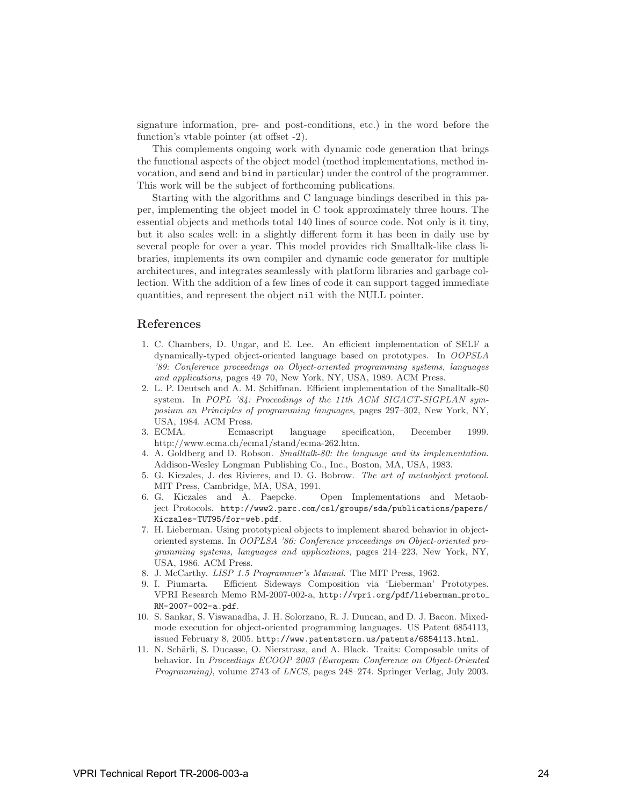signature information, pre- and post-conditions, etc.) in the word before the function's vtable pointer (at offset -2).

This complements ongoing work with dynamic code generation that brings the functional aspects of the object model (method implementations, method invocation, and send and bind in particular) under the control of the programmer. This work will be the subject of forthcoming publications.

Starting with the algorithms and C language bindings described in this paper, implementing the object model in C took approximately three hours. The essential objects and methods total 140 lines of source code. Not only is it tiny, but it also scales well: in a slightly different form it has been in daily use by several people for over a year. This model provides rich Smalltalk-like class libraries, implements its own compiler and dynamic code generator for multiple architectures, and integrates seamlessly with platform libraries and garbage collection. With the addition of a few lines of code it can support tagged immediate quantities, and represent the object nil with the NULL pointer.

## References

- 1. C. Chambers, D. Ungar, and E. Lee. An efficient implementation of SELF a dynamically-typed object-oriented language based on prototypes. In OOPSLA '89: Conference proceedings on Object-oriented programming systems, languages and applications, pages 49–70, New York, NY, USA, 1989. ACM Press.
- 2. L. P. Deutsch and A. M. Schiffman. Efficient implementation of the Smalltalk-80 system. In POPL '84: Proceedings of the 11th ACM SIGACT-SIGPLAN symposium on Principles of programming languages, pages 297–302, New York, NY, USA, 1984. ACM Press.
- 3. ECMA. Ecmascript language specification, December 1999. http://www.ecma.ch/ecma1/stand/ecma-262.htm.
- 4. A. Goldberg and D. Robson. Smalltalk-80: the language and its implementation. Addison-Wesley Longman Publishing Co., Inc., Boston, MA, USA, 1983.
- 5. G. Kiczales, J. des Rivieres, and D. G. Bobrow. The art of metaobject protocol. MIT Press, Cambridge, MA, USA, 1991.
- 6. G. Kiczales and A. Paepcke. Open Implementations and Metaobject Protocols. http://www2.parc.com/csl/groups/sda/publications/papers/ Kiczales-TUT95/for-web.pdf.
- 7. H. Lieberman. Using prototypical objects to implement shared behavior in objectoriented systems. In OOPLSA '86: Conference proceedings on Object-oriented programming systems, languages and applications, pages 214–223, New York, NY, USA, 1986. ACM Press.
- 8. J. McCarthy. LISP 1.5 Programmer's Manual. The MIT Press, 1962.
- 9. I. Piumarta. Efficient Sideways Composition via 'Lieberman' Prototypes. VPRI Research Memo RM-2007-002-a, http://vpri.org/pdf/lieberman proto RM-2007-002-a.pdf.
- 10. S. Sankar, S. Viswanadha, J. H. Solorzano, R. J. Duncan, and D. J. Bacon. Mixedmode execution for object-oriented programming languages. US Patent 6854113, issued February 8, 2005. http://www.patentstorm.us/patents/6854113.html.
- 11. N. Schärli, S. Ducasse, O. Nierstrasz, and A. Black. Traits: Composable units of behavior. In Proceedings ECOOP 2003 (European Conference on Object-Oriented Programming), volume 2743 of LNCS, pages 248–274. Springer Verlag, July 2003.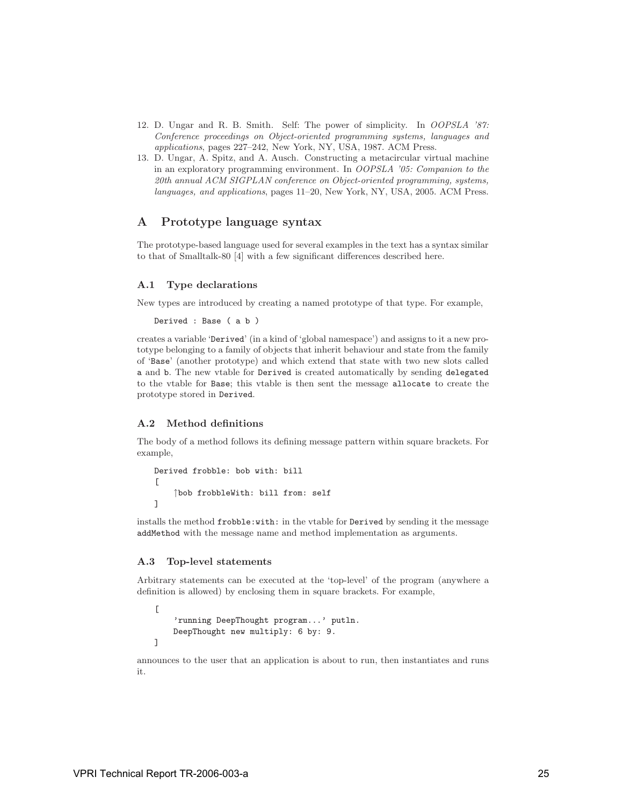- 12. D. Ungar and R. B. Smith. Self: The power of simplicity. In OOPSLA '87: Conference proceedings on Object-oriented programming systems, languages and applications, pages 227–242, New York, NY, USA, 1987. ACM Press.
- 13. D. Ungar, A. Spitz, and A. Ausch. Constructing a metacircular virtual machine in an exploratory programming environment. In OOPSLA '05: Companion to the 20th annual ACM SIGPLAN conference on Object-oriented programming, systems, languages, and applications, pages 11–20, New York, NY, USA, 2005. ACM Press.

# A Prototype language syntax

The prototype-based language used for several examples in the text has a syntax similar to that of Smalltalk-80 [4] with a few significant differences described here.

#### A.1 Type declarations

New types are introduced by creating a named prototype of that type. For example,

```
Derived : Base ( a b )
```
creates a variable 'Derived' (in a kind of 'global namespace') and assigns to it a new prototype belonging to a family of objects that inherit behaviour and state from the family of 'Base' (another prototype) and which extend that state with two new slots called a and b. The new vtable for Derived is created automatically by sending delegated to the vtable for Base; this vtable is then sent the message allocate to create the prototype stored in Derived.

#### A.2 Method definitions

The body of a method follows its defining message pattern within square brackets. For example,

```
Derived frobble: bob with: bill
\Gamma↑bob frobbleWith: bill from: self
\overline{1}
```
installs the method frobble:with: in the vtable for Derived by sending it the message addMethod with the message name and method implementation as arguments.

#### A.3 Top-level statements

Arbitrary statements can be executed at the 'top-level' of the program (anywhere a definition is allowed) by enclosing them in square brackets. For example,

```
\Gamma'running DeepThought program...' putln.
    DeepThought new multiply: 6 by: 9.
]
```
announces to the user that an application is about to run, then instantiates and runs it.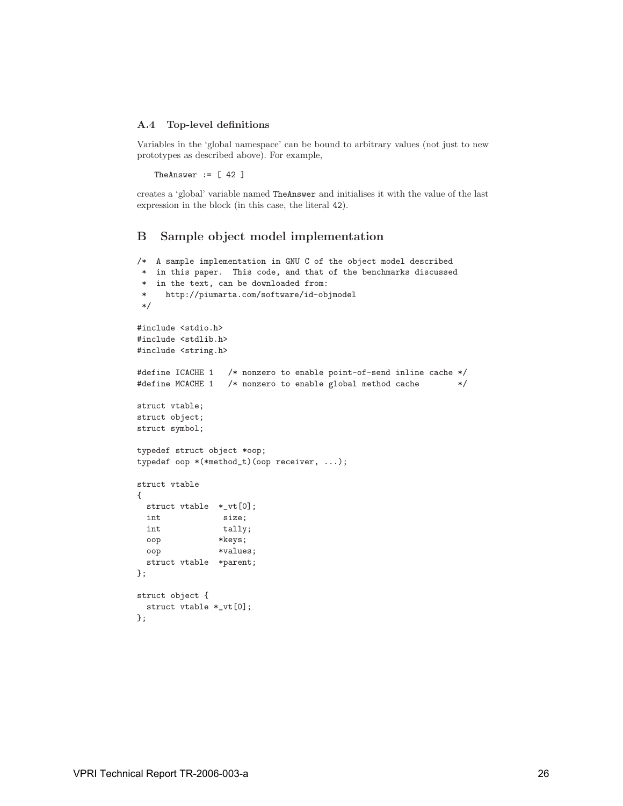#### A.4 Top-level definitions

Variables in the 'global namespace' can be bound to arbitrary values (not just to new prototypes as described above). For example,

The Answer  $:=$  [42]

creates a 'global' variable named TheAnswer and initialises it with the value of the last expression in the block (in this case, the literal 42).

## B Sample object model implementation

```
/* A sample implementation in GNU C of the object model described
* in this paper. This code, and that of the benchmarks discussed
 * in the text, can be downloaded from:
 * http://piumarta.com/software/id-objmodel
*/
#include <stdio.h>
#include <stdlib.h>
#include <string.h>
#define ICACHE 1 /* nonzero to enable point-of-send inline cache */
#define MCACHE 1 /* nonzero to enable global method cache */
struct vtable;
struct object;
struct symbol;
typedef struct object *oop;
typedef oop *(*method_t)(oop receiver, ...);
struct vtable
{
 struct vtable *_vt[0];
 int size;
 int tally;
 oop *keys;
 oop *values;
 struct vtable *parent;
};
struct object {
 struct vtable *_vt[0];
};
```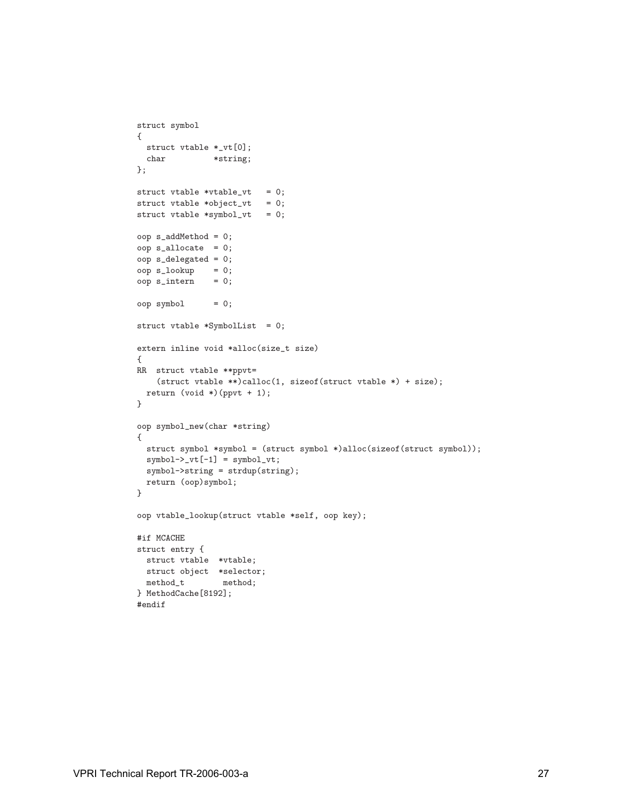```
struct symbol
{
  struct vtable *_vt[0];
 char *string;
};
struct vtable *vtable_vt = 0;
struct vtable *object_vt = 0;
struct vtable *symbol_vt = 0;
oop s_addMethod = 0;
opp s_allocate = 0;
oop s_delegated = 0;
oop s_lookup = 0;
oop s_intern = 0;
oop symbol = 0;struct vtable *SymbolList = 0;
extern inline void *alloc(size_t size)
{
RR struct vtable **ppvt=
    (struct vtable **)calloc(1, sizeof(struct vtable *) + size);
 return (void *) (ppvt + 1);
}
oop symbol_new(char *string)
{
 struct symbol *symbol = (struct symbol *)alloc(sizeof(struct symbol));
  symbol1->_vt[-1] = symbol_vt;symbol->string = strdup(string);
  return (oop)symbol;
}
oop vtable_lookup(struct vtable *self, oop key);
#if MCACHE
struct entry {
 struct vtable *vtable;
 struct object *selector;
 method_t method;
} MethodCache[8192];
#endif
```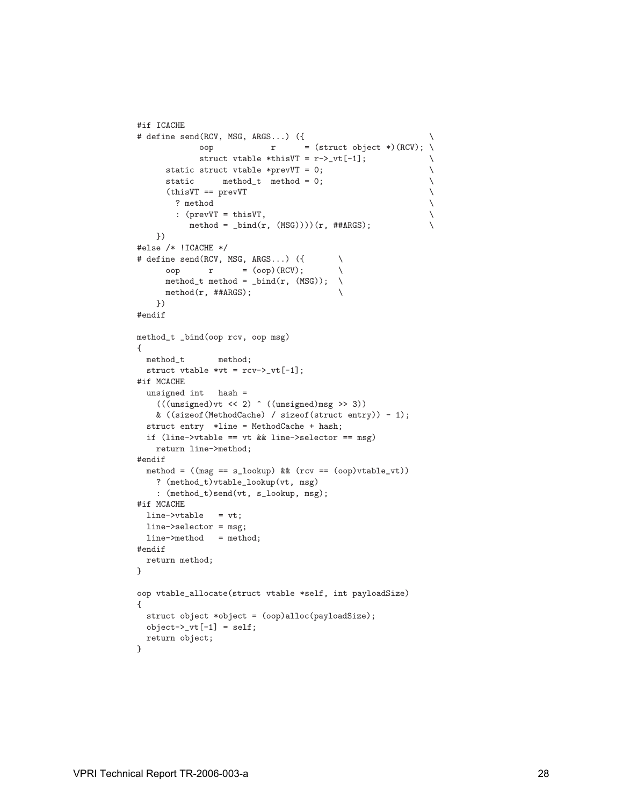```
#if ICACHE
# define send(RCV, MSG, ARGS...) ({ \
           pop r = (struct object *)(RCV); \
            struct vtable *thisVT = r->_vt[-1];
     static struct vtable *prevVT = 0;
     \begin{array}{lll} \texttt{static} & \texttt{method\_t} & \texttt{method = 0;} & \\\texttt{(\texttt{thisVT ==} overVT)} & & \\\end{array}(thisVT == prevVT? method \setminus: (\text{prevVT} = \text{thisVT},method = \phiind(r, (MSG))))(r, ##ARGS);
   })
#else /* !ICACHE */
# define send(RCV, MSG, ARGS...) ({ \
    oop \t r = (oop) (RCV);method_t method = _bind(r, (MSG)); \
     method(r, \#ARGB);
   })
#endif
method_t _bind(oop rcv, oop msg)
{
 method_t method;
 struct vtable *vt = rcv->_vtt[-1];
#if MCACHE
 unsigned int hash =
   (((usingned)vt \le 2) ^ ( (unsigned)msg \gg 3))& ((sizeof(MethodCache) / sizeof(struct entry)) - 1);
 struct entry *line = MethodCache + hash;
 if (line->vtable == vt && line->selector == msg)
   return line->method;
#endif
 method = ((msg == s_lookup) && (rcv == (oop)vtable_vt))? (method_t)vtable_lookup(vt, msg)
   : (method_t)send(vt, s_lookup, msg);
#if MCACHE
 line->vtable = vt;
 line->selector = msg;
 line->method = method;
#endif
 return method;
}
oop vtable_allocate(struct vtable *self, int payloadSize)
{
 struct object *object = (oop)alloc(payloadSize);
 object->_vt[-1] = self;return object;
}
```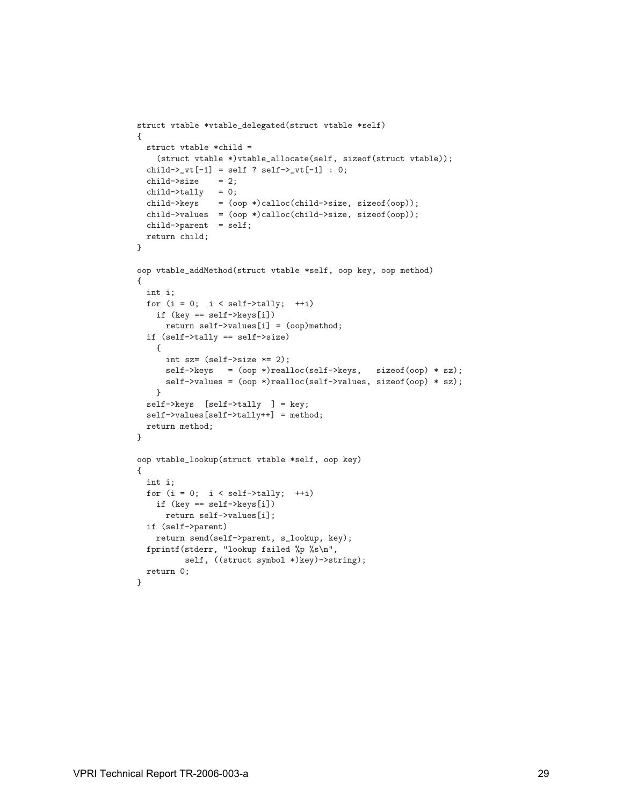```
struct vtable *vtable_delegated(struct vtable *self)
{
 struct vtable *child =
   (struct vtable *)vtable_allocate(self, sizeof(struct vtable));
 child->_vt[-1] = self ? self->_vt[-1] : 0;
 child\rightarrow size = 2;
 child->tally = 0;
 child->keys = (oop *)calloc(child->size, sizeof(oop));
 child->values = (oop *)calloc(child->size, sizeof(oop));
 child->parent = self;
 return child;
}
oop vtable_addMethod(struct vtable *self, oop key, oop method)
{
 int i;
 for (i = 0; i < self>-tally; ++i)if (key == self->keys[i])
     return self->values[i] = (oop)method;
 if (self->tally == self->size)
   {
     int sz= (self->size *= 2);self->keys = (oop *)realloc(self->keys, sizeof(oop) * sz);
     self->values = (oop *)realloc(self->values, sizeof(oop) * sz);
   }
 self->keys [self->tally ] = key;
 \verb|self-{}values[self-{}table+{}| = method ;return method;
}
oop vtable_lookup(struct vtable *self, oop key)
{
 int i;
 for (i = 0; i < self>-tally; ++i)if (key == self->keys[i])
     return self->values[i];
 if (self->parent)
   return send(self->parent, s_lookup, key);
 fprintf(stderr, "lookup failed %p %s\n",
          self, ((struct symbol *)key)->string);
 return 0;
}
```